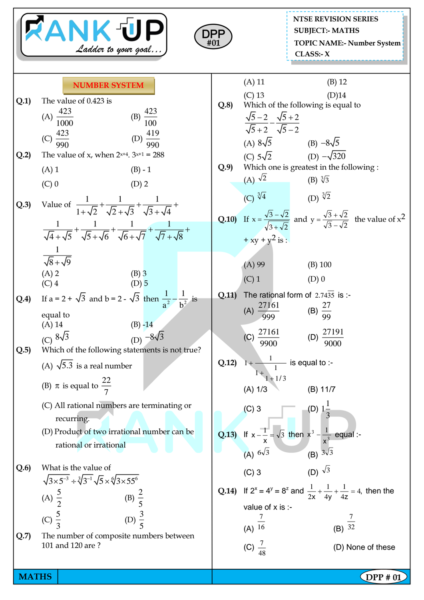|              | <b>RANK UP</b><br>Ladder to your goal                                                                                                                                                                                                                             | DPF<br>#01   | <b>NTSE REVISION SERIES</b><br><b>SUBJECT:- MATHS</b><br><b>TOPIC NAME:- Number System</b><br>CLASS: X                                                                                                                  |
|--------------|-------------------------------------------------------------------------------------------------------------------------------------------------------------------------------------------------------------------------------------------------------------------|--------------|-------------------------------------------------------------------------------------------------------------------------------------------------------------------------------------------------------------------------|
| Q.1)         | <b>NUMBER SYSTEM</b><br>The value of 0.423 is<br>(A) $\frac{423}{1000}$<br>(B) $\frac{423}{100}$<br>(D) $\frac{419}{990}$<br>(C) $\frac{423}{990}$                                                                                                                | Q.8          | $(A)$ 11<br>$(B)$ 12<br>$(C)$ 13<br>(D)14<br>Which of the following is equal to<br>$\frac{\sqrt{5}-2}{\sqrt{5}+2} - \frac{\sqrt{5}+2}{\sqrt{5}-2}$                                                                      |
| Q.2          | The value of x, when $2^{x+4}$ . $3^{x+1} = 288$<br>$(A)$ 1<br>$(B) - 1$<br>$(C)$ 0<br>$(D)$ 2                                                                                                                                                                    | Q.9          | (A) $8\sqrt{5}$ (B) $-8\sqrt{5}$<br>(C) $5\sqrt{2}$ (D) $-\sqrt{320}$<br>Which one is greatest in the following :<br>(A) $\sqrt{2}$<br>(B) $\sqrt[3]{3}$                                                                |
| Q.3)         | Value of $\frac{1}{1+\sqrt{2}} + \frac{1}{\sqrt{2}+\sqrt{3}} + \frac{1}{\sqrt{3}+\sqrt{4}} +$<br>$\frac{1}{\sqrt{4}+\sqrt{5}}+\frac{1}{\sqrt{5}+\sqrt{6}}+\frac{1}{\sqrt{6}+\sqrt{7}}+\frac{1}{\sqrt{7}+\sqrt{8}}+$                                               |              | (C) $\sqrt[3]{4}$ (D) $\sqrt[3]{2}$<br><b>Q.10)</b> If $x = \frac{\sqrt{3} - \sqrt{2}}{\sqrt{3} + \sqrt{2}}$ and $y = \frac{\sqrt{3} + \sqrt{2}}{\sqrt{3} - \sqrt{2}}$ the value of $x^2$<br>+ xy + y <sup>2</sup> is : |
| Q.4          | $\sqrt{8}+\sqrt{9}$<br>$(A)$ 2<br>$(B)$ 3<br>$(D)$ 5<br>$(C)$ 4<br>If a = 2 + $\sqrt{3}$ and b = 2 - $\sqrt{3}$ then $\frac{1}{a^2} - \frac{1}{b^2}$ is<br>equal to<br>$(B) -14$<br>$(A)$ 14<br>(C) $8\sqrt{3}$<br>(D) $-8\sqrt{3}$                               | Q.11)        | (A) 99<br>$(B)$ 100<br>$(C)$ 1<br>$(D)$ 0<br>The rational form of $2.74\overline{35}$ is :-<br>(A) $\frac{27161}{999}$<br>(B) $\frac{27}{99}$<br>$\frac{27161}{9900}$<br>(D) $\frac{27191}{9000}$<br>(C)                |
| Q.5          | Which of the following statements is not true?<br>(A) $\sqrt{5.3}$ is a real number<br>(B) $\pi$ is equal to $\frac{22}{7}$<br>(C) All rational numbers are terminating or<br>recurring.<br>(D) Product of two irrational number can be<br>rational or irrational | $Q.12$ ) 1+- | $\frac{1}{1}$ is equal to :-<br>$1 + 1/3$<br>(A) 1/3<br>(B) 11/7<br>(C) 3<br>(D) $1\frac{1}{3}$<br>2.13) If $x - \frac{1}{x} = \sqrt{3}$ then $x^3 - \frac{1}{x^3}$ equal :-<br>(A) $6\sqrt{3}$<br>(B) $3\sqrt{3}$      |
| Q.6<br>Q.7   | What is the value of<br>$\sqrt{3\times5^{-3}}$ ÷ $\sqrt[3]{3^{-1}}\sqrt{5}\times\sqrt[6]{3\times55^{6}}$<br>(A) $\frac{5}{2}$ (B) $\frac{2}{5}$<br>(C) $\frac{5}{3}$<br>(D) $\frac{3}{5}$<br>The number of composite numbers between<br>101 and 120 are?          |              | (C) 3 (D) $\sqrt{3}$<br>Q.14) If $2^x = 4^y = 8^z$ and $\frac{1}{2x} + \frac{1}{4y} + \frac{1}{4z} = 4$ , then the<br>value of x is :-<br>(B) $\frac{7}{32}$<br>(A) $\overline{16}$<br>(D) None of these                |
| <b>MATHS</b> |                                                                                                                                                                                                                                                                   |              | (C) $\frac{7}{48}$<br>DPP # 01                                                                                                                                                                                          |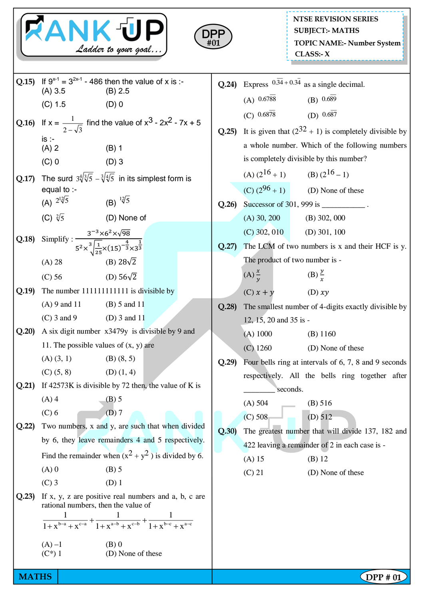|              |                                                                                                                                                 | RANK UP<br>Ladder to your goal                                                                                                                | DPF  |                        | <b>NTSE REVISION SERIES</b><br><b>SUBJECT:- MATHS</b><br><b>TOPIC NAME:- Number System</b><br>CLASS: X |
|--------------|-------------------------------------------------------------------------------------------------------------------------------------------------|-----------------------------------------------------------------------------------------------------------------------------------------------|------|------------------------|--------------------------------------------------------------------------------------------------------|
|              | $(A) 3.5$ (B) 2.5                                                                                                                               | Q.15) If $9^{x-1} = 3^{2x-1} - 486$ then the value of x is :-                                                                                 |      |                        | Q.24) Express $0.\overline{34} + 0.3\overline{4}$ as a single decimal.                                 |
|              | $(C) 1.5$ (D) 0                                                                                                                                 |                                                                                                                                               |      |                        | (A) $0.6788$ (B) $0.689$<br>(C) $0.68\overline{78}$ (D) $0.68\overline{7}$                             |
|              |                                                                                                                                                 | Q.16) If $x = \frac{1}{2-\sqrt{3}}$ find the value of $x^3 - 2x^2 - 7x + 5$                                                                   |      |                        | Q.25) It is given that $(2^{32} + 1)$ is completely divisible by                                       |
|              | $is -$<br>$(A)$ 2                                                                                                                               | $(B)$ 1                                                                                                                                       |      |                        | a whole number. Which of the following numbers                                                         |
|              | $(C)$ 0<br>$(D)$ 3                                                                                                                              |                                                                                                                                               |      |                        | is completely divisible by this number?                                                                |
|              |                                                                                                                                                 | Q.17) The surd $3\sqrt[4]{3/5} - 3\sqrt[4]{5}$ in its simplest form is                                                                        |      |                        | (A) $(2^{16}+1)$ (B) $(2^{16}-1)$                                                                      |
|              | equal to :-                                                                                                                                     |                                                                                                                                               |      |                        | (C) $(2^{96} + 1)$ (D) None of these                                                                   |
|              | (A) $2\sqrt[12]{5}$                                                                                                                             | (B) $\sqrt[12]{5}$                                                                                                                            | Q.26 |                        | Successor of 301, 999 is ____________.                                                                 |
|              | (C) $\sqrt[2]{5}$ (D) None of                                                                                                                   |                                                                                                                                               |      |                        | $(A)$ 30, 200 $(B)$ 302, 000                                                                           |
| Q.18         | Simplify : $\frac{3^{-3} \times 6^{2} \times \sqrt{98}}{5^{2} \times \sqrt[3]{\frac{1}{25} \times (15)^{-\frac{4}{3}} \times 3^{\frac{1}{3}}}}$ |                                                                                                                                               |      |                        | $(C)$ 302, 010 $(D)$ 301, 100                                                                          |
|              |                                                                                                                                                 |                                                                                                                                               | Q.27 |                        | The LCM of two numbers is x and their HCF is y.<br>The product of two number is -                      |
|              | (A) 28                                                                                                                                          | (B) $28\sqrt{2}$                                                                                                                              |      | $(A) \frac{x}{y}$      | $(B) \frac{y}{x}$                                                                                      |
| Q.19         | $(C)$ 56                                                                                                                                        | (D) $56\sqrt{2}$<br>The number 1111111111111 is divisible by                                                                                  |      |                        |                                                                                                        |
|              | $(A) 9$ and 11 $(B) 5$ and 11                                                                                                                   |                                                                                                                                               | Q.28 | $(C)$ $x + y$          | (D) xy                                                                                                 |
|              | (C) 3 and 9 (D) 3 and 11                                                                                                                        |                                                                                                                                               |      | 12, 15, 20 and 35 is - | The smallest number of 4-digits exactly divisible by                                                   |
| Q.20         |                                                                                                                                                 | A six digit number x3479y is divisible by 9 and                                                                                               |      | (A) 1000               | $(B)$ 1160                                                                                             |
|              | 11. The possible values of $(x, y)$ are                                                                                                         |                                                                                                                                               |      | $(C)$ 1260             | (D) None of these                                                                                      |
|              | $(A)$ $(3, 1)$                                                                                                                                  | $(B)$ $(8, 5)$                                                                                                                                | Q.29 |                        | Four bells ring at intervals of 6, 7, 8 and 9 seconds                                                  |
|              | $(C)$ $(5, 8)$                                                                                                                                  | $(D)$ $(1, 4)$                                                                                                                                |      |                        | respectively. All the bells ring together after                                                        |
| Q.21)        | $(A)$ 4                                                                                                                                         | If $42573K$ is divisible by 72 then, the value of K is                                                                                        |      |                        | seconds.                                                                                               |
|              | $(C)$ 6                                                                                                                                         | $(B)$ 5<br>$(D)$ 7                                                                                                                            |      | (A) 504                | (B) 516                                                                                                |
| Q.22         |                                                                                                                                                 | Two numbers, x and y, are such that when divided                                                                                              | Q.30 | (C) 508                | (D) 512                                                                                                |
|              | by 6, they leave remainders 4 and 5 respectively.                                                                                               |                                                                                                                                               |      |                        | The greatest number that will divide 137, 182 and<br>422 leaving a remainder of 2 in each case is -    |
|              | Find the remainder when $(x^2 + y^2)$ is divided by 6.                                                                                          |                                                                                                                                               |      | $(A)$ 15               | $(B)$ 12                                                                                               |
|              | $(A)$ 0                                                                                                                                         | $(B)$ 5                                                                                                                                       |      | $(C)$ 21               | (D) None of these                                                                                      |
|              | $(C)$ 3                                                                                                                                         | $(D)$ 1                                                                                                                                       |      |                        |                                                                                                        |
| Q.23)        | rational numbers, then the value of                                                                                                             | If x, y, z are positive real numbers and a, b, c are<br>$\frac{1}{1+x^{b-a}+x^{c-a}}+\frac{1}{1+x^{a-b}+x^{c-b}}+\frac{1}{1+x^{b-c}+x^{a-c}}$ |      |                        |                                                                                                        |
|              | $(A) -1$<br>$(C^*)$ 1                                                                                                                           | $(B)$ 0<br>(D) None of these                                                                                                                  |      |                        |                                                                                                        |
| <b>MATHS</b> |                                                                                                                                                 |                                                                                                                                               |      |                        | $\zeta$ DPP # 01                                                                                       |